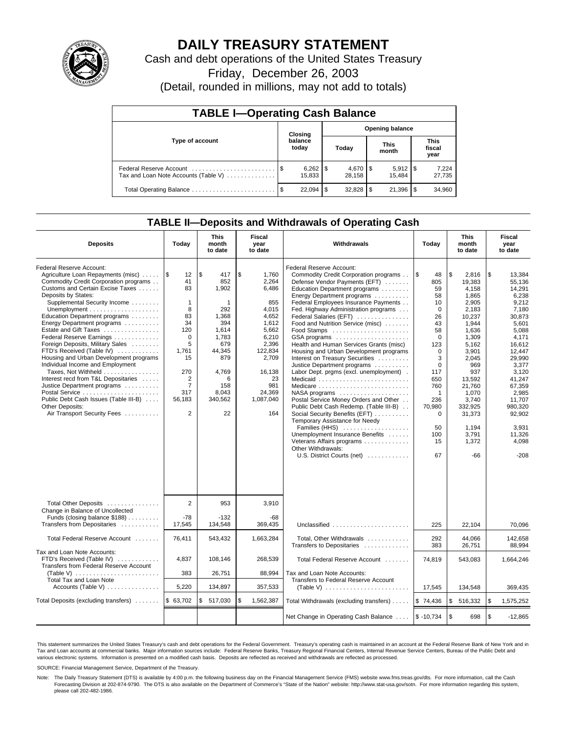

# **DAILY TREASURY STATEMENT**

Cash and debt operations of the United States Treasury

Friday, December 26, 2003

(Detail, rounded in millions, may not add to totals)

| <b>TABLE I-Operating Cash Balance</b> |      |                        |       |                        |                      |                       |                               |                 |  |  |
|---------------------------------------|------|------------------------|-------|------------------------|----------------------|-----------------------|-------------------------------|-----------------|--|--|
|                                       |      | Closing                |       | <b>Opening balance</b> |                      |                       |                               |                 |  |  |
| Type of account                       |      | balance<br>today       | Today |                        | <b>This</b><br>month |                       | <b>This</b><br>fiscal<br>year |                 |  |  |
| Tax and Loan Note Accounts (Table V)  |      | $6,262$   \$<br>15.833 |       | $4,670$ \ \$<br>28,158 |                      | $5,912$ \\$<br>15.484 |                               | 7,224<br>27,735 |  |  |
| Total Operating Balance               | - \$ | 22.094                 | S     | $32,828$ \$            |                      | 21,396                |                               | 34,960          |  |  |

## **TABLE II—Deposits and Withdrawals of Operating Cash**

| <b>Deposits</b>                                                                                                                                                                                                                                                                                                                                                                                                                                                                                                                                                                                                                                                                 | Today                                                                                                                                                             | <b>This</b><br>month<br>to date                                                                                                                | Fiscal<br>year<br>to date                                                                                                                                     | Withdrawals                                                                                                                                                                                                                                                                                                                                                                                                                                                                                                                                                                                                                                                                                                                                                                                                                                                                    | Today                                                                                                                                                                                                                | <b>This</b><br>month<br>to date                                                                                                                                                                                                      | Fiscal<br>year<br>to date                                                                                                                                                                                                                          |
|---------------------------------------------------------------------------------------------------------------------------------------------------------------------------------------------------------------------------------------------------------------------------------------------------------------------------------------------------------------------------------------------------------------------------------------------------------------------------------------------------------------------------------------------------------------------------------------------------------------------------------------------------------------------------------|-------------------------------------------------------------------------------------------------------------------------------------------------------------------|------------------------------------------------------------------------------------------------------------------------------------------------|---------------------------------------------------------------------------------------------------------------------------------------------------------------|--------------------------------------------------------------------------------------------------------------------------------------------------------------------------------------------------------------------------------------------------------------------------------------------------------------------------------------------------------------------------------------------------------------------------------------------------------------------------------------------------------------------------------------------------------------------------------------------------------------------------------------------------------------------------------------------------------------------------------------------------------------------------------------------------------------------------------------------------------------------------------|----------------------------------------------------------------------------------------------------------------------------------------------------------------------------------------------------------------------|--------------------------------------------------------------------------------------------------------------------------------------------------------------------------------------------------------------------------------------|----------------------------------------------------------------------------------------------------------------------------------------------------------------------------------------------------------------------------------------------------|
| Federal Reserve Account:<br>Agriculture Loan Repayments (misc)<br>Commodity Credit Corporation programs<br>Customs and Certain Excise Taxes<br>Deposits by States:<br>Supplemental Security Income<br>Education Department programs<br>Energy Department programs<br>Estate and Gift Taxes<br>Federal Reserve Earnings<br>Foreign Deposits, Military Sales<br>FTD's Received (Table IV)<br>Housing and Urban Development programs<br>Individual Income and Employment<br>Taxes, Not Withheld<br>Interest recd from T&L Depositaries<br>Justice Department programs<br>Postal Service<br>Public Debt Cash Issues (Table III-B)<br>Other Deposits:<br>Air Transport Security Fees | ۱\$<br>12<br>41<br>83<br>$\mathbf{1}$<br>8<br>83<br>34<br>120<br>$\mathbf 0$<br>5<br>1,761<br>15<br>270<br>2<br>$\overline{7}$<br>317<br>56,183<br>$\overline{2}$ | \$<br>417<br>852<br>1,902<br>1<br>292<br>1,368<br>394<br>1,614<br>1,783<br>679<br>44,345<br>879<br>4,769<br>6<br>158<br>8,043<br>340,562<br>22 | \$<br>1,760<br>2,264<br>6,486<br>855<br>4,015<br>4,652<br>1,612<br>5,662<br>6,210<br>2,396<br>122,834<br>2,709<br>16,138<br>981<br>24,369<br>1,087,040<br>164 | Federal Reserve Account:<br>Commodity Credit Corporation programs<br>Defense Vendor Payments (EFT)<br>Education Department programs<br>Energy Department programs<br>Federal Employees Insurance Payments<br>Fed. Highway Administration programs<br>Federal Salaries (EFT)<br>Food and Nutrition Service (misc)<br>GSA programs<br>Health and Human Services Grants (misc)<br>Housing and Urban Development programs<br>Interest on Treasury Securities<br>Justice Department programs<br>Labor Dept. prgms (excl. unemployment).<br>23<br>Medicaid<br>Medicare<br>NASA programs<br>Postal Service Money Orders and Other<br>Public Debt Cash Redemp. (Table III-B)<br>Social Security Benefits (EFT)<br>Temporary Assistance for Needy<br>Families (HHS)<br>Unemployment Insurance Benefits<br>Veterans Affairs programs<br>Other Withdrawals:<br>U.S. District Courts (net) | 1\$<br>48<br>805<br>59<br>58<br>10<br>$\mathbf 0$<br>26<br>43<br>58<br>$\mathbf 0$<br>123<br>$\Omega$<br>3<br>$\mathbf 0$<br>117<br>650<br>760<br>$\mathbf{1}$<br>236<br>70,980<br>$\Omega$<br>50<br>100<br>15<br>67 | \$<br>2,816<br>19,383<br>4.158<br>1,865<br>2,905<br>2,183<br>10,237<br>1,944<br>1,636<br>1,309<br>5.162<br>3.901<br>2,045<br>969<br>937<br>13,592<br>21,760<br>1,070<br>3.740<br>332.925<br>31,373<br>1.194<br>3,791<br>1,372<br>-66 | \$<br>13,384<br>55,136<br>14.291<br>6,238<br>9,212<br>7,180<br>30,873<br>5,601<br>5,088<br>4,171<br>16.612<br>12.447<br>29.990<br>3,377<br>3,120<br>41.247<br>67,359<br>2,985<br>11.707<br>980.320<br>92,902<br>3.931<br>11,326<br>4,098<br>$-208$ |
| Total Other Deposits<br>Change in Balance of Uncollected<br>Funds (closing balance \$188)<br>Transfers from Depositaries                                                                                                                                                                                                                                                                                                                                                                                                                                                                                                                                                        | $\overline{2}$<br>$-78$<br>17,545                                                                                                                                 | 953<br>$-132$<br>134,548                                                                                                                       | 3,910<br>-68<br>369,435                                                                                                                                       | Unclassified                                                                                                                                                                                                                                                                                                                                                                                                                                                                                                                                                                                                                                                                                                                                                                                                                                                                   | 225                                                                                                                                                                                                                  | 22,104                                                                                                                                                                                                                               | 70.096                                                                                                                                                                                                                                             |
| Total Federal Reserve Account                                                                                                                                                                                                                                                                                                                                                                                                                                                                                                                                                                                                                                                   | 76,411                                                                                                                                                            | 543,432                                                                                                                                        | 1,663,284                                                                                                                                                     | Total, Other Withdrawals                                                                                                                                                                                                                                                                                                                                                                                                                                                                                                                                                                                                                                                                                                                                                                                                                                                       | 292<br>383                                                                                                                                                                                                           | 44,066                                                                                                                                                                                                                               | 142,658<br>88,994                                                                                                                                                                                                                                  |
| Tax and Loan Note Accounts:<br>FTD's Received (Table IV)<br>Transfers from Federal Reserve Account<br>(Table V) $\ldots \ldots \ldots \ldots \ldots \ldots \ldots \ldots$<br>Total Tax and Loan Note                                                                                                                                                                                                                                                                                                                                                                                                                                                                            | 4,837<br>383                                                                                                                                                      | 108,146<br>26,751                                                                                                                              | 268,539<br>88,994                                                                                                                                             | Transfers to Depositaries<br>Total Federal Reserve Account<br>Tax and Loan Note Accounts:<br>Transfers to Federal Reserve Account                                                                                                                                                                                                                                                                                                                                                                                                                                                                                                                                                                                                                                                                                                                                              | 74,819                                                                                                                                                                                                               | 26,751<br>543,083                                                                                                                                                                                                                    | 1,664,246                                                                                                                                                                                                                                          |
| Accounts (Table V) $\dots \dots \dots \dots$                                                                                                                                                                                                                                                                                                                                                                                                                                                                                                                                                                                                                                    | 5,220                                                                                                                                                             | 134,897                                                                                                                                        | 357,533                                                                                                                                                       |                                                                                                                                                                                                                                                                                                                                                                                                                                                                                                                                                                                                                                                                                                                                                                                                                                                                                | 17,545                                                                                                                                                                                                               | 134,548                                                                                                                                                                                                                              | 369,435                                                                                                                                                                                                                                            |
| Total Deposits (excluding transfers)                                                                                                                                                                                                                                                                                                                                                                                                                                                                                                                                                                                                                                            | \$63,702                                                                                                                                                          | \$<br>517,030                                                                                                                                  | \$<br>1,562,387                                                                                                                                               | Total Withdrawals (excluding transfers)                                                                                                                                                                                                                                                                                                                                                                                                                                                                                                                                                                                                                                                                                                                                                                                                                                        | \$74,436                                                                                                                                                                                                             | \$<br>516,332                                                                                                                                                                                                                        | l \$<br>1,575,252                                                                                                                                                                                                                                  |
|                                                                                                                                                                                                                                                                                                                                                                                                                                                                                                                                                                                                                                                                                 |                                                                                                                                                                   |                                                                                                                                                |                                                                                                                                                               | Net Change in Operating Cash Balance  \\$ -10,734                                                                                                                                                                                                                                                                                                                                                                                                                                                                                                                                                                                                                                                                                                                                                                                                                              |                                                                                                                                                                                                                      | \$<br>698                                                                                                                                                                                                                            | $\sqrt{3}$<br>$-12.865$                                                                                                                                                                                                                            |

This statement summarizes the United States Treasury's cash and debt operations for the Federal Government. Treasury's operating cash is maintained in an account at the Federal Reserve Bank of New York and in Tax and Loan accounts at commercial banks. Major information sources include: Federal Reserve Banks, Treasury Regional Financial Centers, Internal Revenue Service Centers, Bureau of the Public Debt and<br>various electronic s

SOURCE: Financial Management Service, Department of the Treasury.

Note: The Daily Treasury Statement (DTS) is available by 4:00 p.m. the following business day on the Financial Management Service (FMS) website www.fms.treas.gov/dts. For more information, call the Cash Forecasting Division at 202-874-9790. The DTS is also available on the Department of Commerce's "State of the Nation" website: http://www.stat-usa.gov/sotn. For more information regarding this system, please call 202-482-1986.